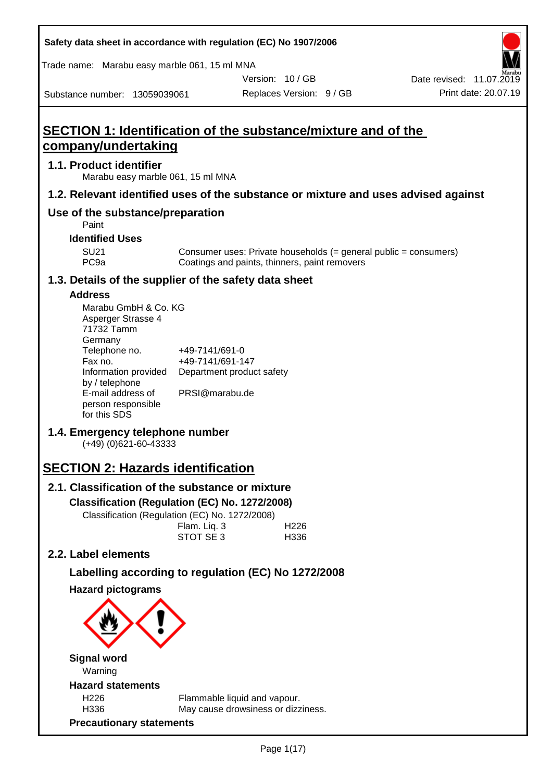| Safety data sheet in accordance with regulation (EC) No 1907/2006                           |                                                                    |                |                          |                                                                                    |
|---------------------------------------------------------------------------------------------|--------------------------------------------------------------------|----------------|--------------------------|------------------------------------------------------------------------------------|
| Trade name: Marabu easy marble 061, 15 ml MNA                                               |                                                                    |                |                          |                                                                                    |
|                                                                                             |                                                                    | Version: 10/GB |                          | Date revised: 11.07.2019                                                           |
| Substance number: 13059039061                                                               |                                                                    |                | Replaces Version: 9 / GB | Print date: 20.07.19                                                               |
| <b>SECTION 1: Identification of the substance/mixture and of the</b><br>company/undertaking |                                                                    |                |                          |                                                                                    |
| 1.1. Product identifier<br>Marabu easy marble 061, 15 ml MNA                                |                                                                    |                |                          |                                                                                    |
|                                                                                             |                                                                    |                |                          | 1.2. Relevant identified uses of the substance or mixture and uses advised against |
| Use of the substance/preparation<br>Paint                                                   |                                                                    |                |                          |                                                                                    |
| <b>Identified Uses</b>                                                                      |                                                                    |                |                          |                                                                                    |
| <b>SU21</b><br>PC <sub>9a</sub>                                                             | Coatings and paints, thinners, paint removers                      |                |                          | Consumer uses: Private households $(=$ general public = consumers)                 |
| 1.3. Details of the supplier of the safety data sheet                                       |                                                                    |                |                          |                                                                                    |
| <b>Address</b><br>Marabu GmbH & Co. KG<br>Asperger Strasse 4<br>71732 Tamm<br>Germany       |                                                                    |                |                          |                                                                                    |
| Telephone no.<br>Fax no.<br>Information provided                                            | +49-7141/691-0<br>+49-7141/691-147<br>Department product safety    |                |                          |                                                                                    |
| by / telephone<br>E-mail address of<br>person responsible<br>for this SDS                   | PRSI@marabu.de                                                     |                |                          |                                                                                    |
| 1.4. Emergency telephone number<br>$(+49)$ (0)621-60-43333                                  |                                                                    |                |                          |                                                                                    |
| <b>SECTION 2: Hazards identification</b>                                                    |                                                                    |                |                          |                                                                                    |
| 2.1. Classification of the substance or mixture                                             |                                                                    |                |                          |                                                                                    |
| Classification (Regulation (EC) No. 1272/2008)                                              |                                                                    |                |                          |                                                                                    |
| Classification (Regulation (EC) No. 1272/2008)                                              |                                                                    |                |                          |                                                                                    |
|                                                                                             | Flam. Liq. 3<br>STOT SE 3                                          |                | H <sub>226</sub><br>H336 |                                                                                    |
| 2.2. Label elements                                                                         |                                                                    |                |                          |                                                                                    |
|                                                                                             |                                                                    |                |                          |                                                                                    |
| Labelling according to regulation (EC) No 1272/2008                                         |                                                                    |                |                          |                                                                                    |
| <b>Hazard pictograms</b>                                                                    |                                                                    |                |                          |                                                                                    |
|                                                                                             |                                                                    |                |                          |                                                                                    |
| <b>Signal word</b><br>Warning                                                               |                                                                    |                |                          |                                                                                    |
| <b>Hazard statements</b>                                                                    |                                                                    |                |                          |                                                                                    |
| H226<br>H336                                                                                | Flammable liquid and vapour.<br>May cause drowsiness or dizziness. |                |                          |                                                                                    |
| <b>Precautionary statements</b>                                                             |                                                                    |                |                          |                                                                                    |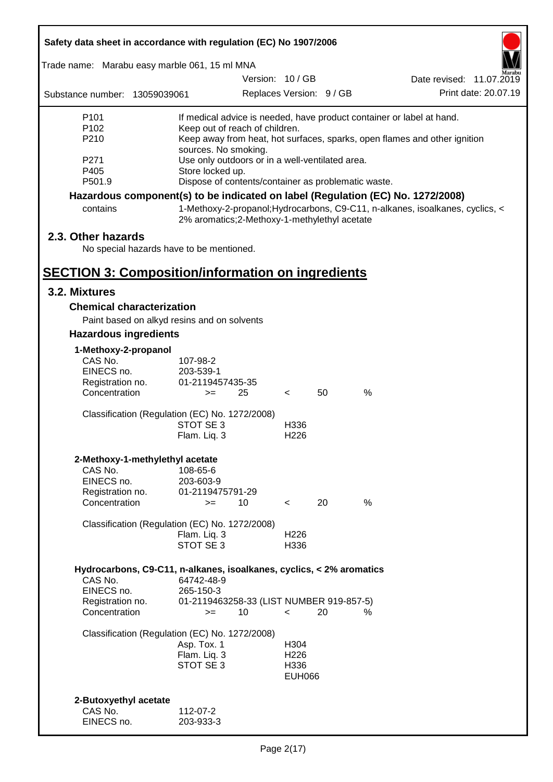| Safety data sheet in accordance with regulation (EC) No 1907/2006                                                                                                                                                                                            |                                                                     |                          |                                                   |    |                                                                               |  |
|--------------------------------------------------------------------------------------------------------------------------------------------------------------------------------------------------------------------------------------------------------------|---------------------------------------------------------------------|--------------------------|---------------------------------------------------|----|-------------------------------------------------------------------------------|--|
| Trade name: Marabu easy marble 061, 15 ml MNA                                                                                                                                                                                                                |                                                                     |                          |                                                   |    |                                                                               |  |
|                                                                                                                                                                                                                                                              |                                                                     | Version: 10/GB           |                                                   |    | Date revised: 11.07.2019                                                      |  |
| Substance number: 13059039061                                                                                                                                                                                                                                |                                                                     | Replaces Version: 9 / GB |                                                   |    | Print date: 20.07.19                                                          |  |
| P <sub>101</sub><br>If medical advice is needed, have product container or label at hand.<br>P <sub>102</sub><br>Keep out of reach of children.<br>P210<br>Keep away from heat, hot surfaces, sparks, open flames and other ignition<br>sources. No smoking. |                                                                     |                          |                                                   |    |                                                                               |  |
| P <sub>271</sub><br>P405                                                                                                                                                                                                                                     | Use only outdoors or in a well-ventilated area.<br>Store locked up. |                          |                                                   |    |                                                                               |  |
| P501.9                                                                                                                                                                                                                                                       | Dispose of contents/container as problematic waste.                 |                          |                                                   |    |                                                                               |  |
| Hazardous component(s) to be indicated on label (Regulation (EC) No. 1272/2008)<br>contains                                                                                                                                                                  | 2% aromatics;2-Methoxy-1-methylethyl acetate                        |                          |                                                   |    | 1-Methoxy-2-propanol; Hydrocarbons, C9-C11, n-alkanes, isoalkanes, cyclics, < |  |
| 2.3. Other hazards<br>No special hazards have to be mentioned.                                                                                                                                                                                               |                                                                     |                          |                                                   |    |                                                                               |  |
| <b>SECTION 3: Composition/information on ingredients</b>                                                                                                                                                                                                     |                                                                     |                          |                                                   |    |                                                                               |  |
| 3.2. Mixtures                                                                                                                                                                                                                                                |                                                                     |                          |                                                   |    |                                                                               |  |
| <b>Chemical characterization</b>                                                                                                                                                                                                                             |                                                                     |                          |                                                   |    |                                                                               |  |
| Paint based on alkyd resins and on solvents                                                                                                                                                                                                                  |                                                                     |                          |                                                   |    |                                                                               |  |
| <b>Hazardous ingredients</b>                                                                                                                                                                                                                                 |                                                                     |                          |                                                   |    |                                                                               |  |
| 1-Methoxy-2-propanol<br>CAS No.                                                                                                                                                                                                                              | 107-98-2                                                            |                          |                                                   |    |                                                                               |  |
| EINECS no.                                                                                                                                                                                                                                                   | 203-539-1                                                           |                          |                                                   |    |                                                                               |  |
| Registration no.<br>Concentration                                                                                                                                                                                                                            | 01-2119457435-35<br>$>=$                                            | 25                       | $\overline{\phantom{0}}$                          | 50 | %                                                                             |  |
| Classification (Regulation (EC) No. 1272/2008)                                                                                                                                                                                                               | STOT SE 3<br>Flam. Liq. 3                                           |                          | H336<br>H <sub>226</sub>                          |    |                                                                               |  |
| 2-Methoxy-1-methylethyl acetate                                                                                                                                                                                                                              |                                                                     |                          |                                                   |    |                                                                               |  |
| CAS No.<br>EINECS no.                                                                                                                                                                                                                                        | 108-65-6<br>203-603-9                                               |                          |                                                   |    |                                                                               |  |
| Registration no.<br>Concentration                                                                                                                                                                                                                            | 01-2119475791-29<br>$=$                                             | 10                       | $\overline{\phantom{0}}$                          | 20 | %                                                                             |  |
| Classification (Regulation (EC) No. 1272/2008)                                                                                                                                                                                                               | Flam. Liq. 3<br>STOT SE 3                                           |                          | H <sub>226</sub><br>H336                          |    |                                                                               |  |
| Hydrocarbons, C9-C11, n-alkanes, isoalkanes, cyclics, < 2% aromatics<br>CAS No.                                                                                                                                                                              | 64742-48-9                                                          |                          |                                                   |    |                                                                               |  |
| EINECS no.<br>Registration no.<br>Concentration                                                                                                                                                                                                              | 265-150-3<br>01-2119463258-33 (LIST NUMBER 919-857-5)<br>$>=$       | 10                       | $\overline{\phantom{0}}$                          | 20 | %                                                                             |  |
| Classification (Regulation (EC) No. 1272/2008)                                                                                                                                                                                                               | Asp. Tox. 1<br>Flam. Liq. 3<br>STOT SE 3                            |                          | H304<br>H <sub>226</sub><br>H336<br><b>EUH066</b> |    |                                                                               |  |
| 2-Butoxyethyl acetate<br>CAS No.<br>EINECS no.                                                                                                                                                                                                               | 112-07-2<br>203-933-3                                               |                          |                                                   |    |                                                                               |  |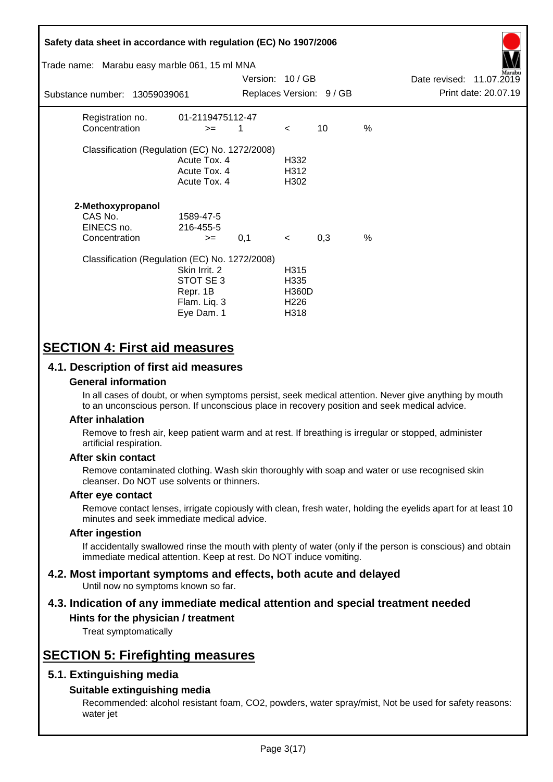| Safety data sheet in accordance with regulation (EC) No 1907/2006<br>Trade name: Marabu easy marble 061, 15 ml MNA<br>Marabu<br>Version: 10/GB<br>Date revised: 11.07.2019<br>Print date: 20.07.19<br>Replaces Version: 9 / GB |                                                                     |     |                                                          |     |               |  |  |
|--------------------------------------------------------------------------------------------------------------------------------------------------------------------------------------------------------------------------------|---------------------------------------------------------------------|-----|----------------------------------------------------------|-----|---------------|--|--|
| Substance number: 13059039061                                                                                                                                                                                                  |                                                                     |     |                                                          |     |               |  |  |
| Registration no.<br>Concentration                                                                                                                                                                                              | 01-2119475112-47<br>$>=$                                            | 1   | $\prec$                                                  | 10  | $\%$          |  |  |
| Classification (Regulation (EC) No. 1272/2008)                                                                                                                                                                                 | Acute Tox, 4<br>Acute Tox. 4<br>Acute Tox. 4                        |     | H332<br>H <sub>3</sub> 12<br>H302                        |     |               |  |  |
| 2-Methoxypropanol<br>CAS No.<br>EINECS no.<br>Concentration                                                                                                                                                                    | 1589-47-5<br>216-455-5<br>$>=$                                      | 0,1 | $\lt$                                                    | 0,3 | $\frac{0}{0}$ |  |  |
| Classification (Regulation (EC) No. 1272/2008)                                                                                                                                                                                 | Skin Irrit. 2<br>STOT SE3<br>Repr. 1B<br>Flam. Liq. 3<br>Eye Dam. 1 |     | H315<br>H335<br><b>H360D</b><br>H <sub>226</sub><br>H318 |     |               |  |  |

# **SECTION 4: First aid measures**

## **4.1. Description of first aid measures**

## **General information**

In all cases of doubt, or when symptoms persist, seek medical attention. Never give anything by mouth to an unconscious person. If unconscious place in recovery position and seek medical advice.

## **After inhalation**

Remove to fresh air, keep patient warm and at rest. If breathing is irregular or stopped, administer artificial respiration.

## **After skin contact**

Remove contaminated clothing. Wash skin thoroughly with soap and water or use recognised skin cleanser. Do NOT use solvents or thinners.

## **After eye contact**

Remove contact lenses, irrigate copiously with clean, fresh water, holding the eyelids apart for at least 10 minutes and seek immediate medical advice.

#### **After ingestion**

If accidentally swallowed rinse the mouth with plenty of water (only if the person is conscious) and obtain immediate medical attention. Keep at rest. Do NOT induce vomiting.

#### **4.2. Most important symptoms and effects, both acute and delayed** Until now no symptoms known so far.

# **4.3. Indication of any immediate medical attention and special treatment needed**

## **Hints for the physician / treatment**

Treat symptomatically

# **SECTION 5: Firefighting measures**

## **5.1. Extinguishing media**

## **Suitable extinguishing media**

Recommended: alcohol resistant foam, CO2, powders, water spray/mist, Not be used for safety reasons: water jet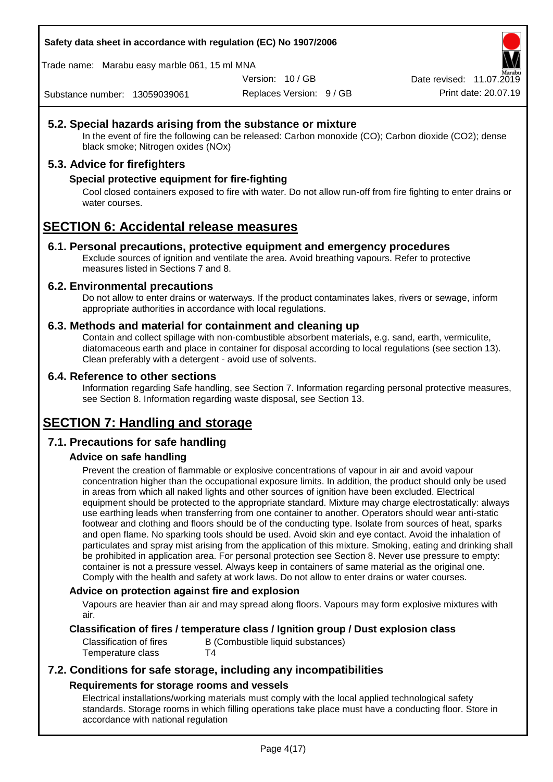**Safety data sheet in accordance with regulation (EC) No 1907/2006**

Trade name: Marabu easy marble 061, 15 ml MNA

Version: 10 / GB

Replaces Version: 9 / GB Print date: 20.07.19 Date revised: 11.07.2019

Substance number: 13059039061

## **5.2. Special hazards arising from the substance or mixture**

In the event of fire the following can be released: Carbon monoxide (CO); Carbon dioxide (CO2); dense black smoke; Nitrogen oxides (NOx)

## **5.3. Advice for firefighters**

## **Special protective equipment for fire-fighting**

Cool closed containers exposed to fire with water. Do not allow run-off from fire fighting to enter drains or water courses.

# **SECTION 6: Accidental release measures**

## **6.1. Personal precautions, protective equipment and emergency procedures**

Exclude sources of ignition and ventilate the area. Avoid breathing vapours. Refer to protective measures listed in Sections 7 and 8.

## **6.2. Environmental precautions**

Do not allow to enter drains or waterways. If the product contaminates lakes, rivers or sewage, inform appropriate authorities in accordance with local regulations.

## **6.3. Methods and material for containment and cleaning up**

Contain and collect spillage with non-combustible absorbent materials, e.g. sand, earth, vermiculite, diatomaceous earth and place in container for disposal according to local regulations (see section 13). Clean preferably with a detergent - avoid use of solvents.

## **6.4. Reference to other sections**

Information regarding Safe handling, see Section 7. Information regarding personal protective measures, see Section 8. Information regarding waste disposal, see Section 13.

# **SECTION 7: Handling and storage**

## **7.1. Precautions for safe handling**

## **Advice on safe handling**

Prevent the creation of flammable or explosive concentrations of vapour in air and avoid vapour concentration higher than the occupational exposure limits. In addition, the product should only be used in areas from which all naked lights and other sources of ignition have been excluded. Electrical equipment should be protected to the appropriate standard. Mixture may charge electrostatically: always use earthing leads when transferring from one container to another. Operators should wear anti-static footwear and clothing and floors should be of the conducting type. Isolate from sources of heat, sparks and open flame. No sparking tools should be used. Avoid skin and eye contact. Avoid the inhalation of particulates and spray mist arising from the application of this mixture. Smoking, eating and drinking shall be prohibited in application area. For personal protection see Section 8. Never use pressure to empty: container is not a pressure vessel. Always keep in containers of same material as the original one. Comply with the health and safety at work laws. Do not allow to enter drains or water courses.

## **Advice on protection against fire and explosion**

Vapours are heavier than air and may spread along floors. Vapours may form explosive mixtures with air.

## **Classification of fires / temperature class / Ignition group / Dust explosion class**

Temperature class T4

Classification of fires B (Combustible liquid substances)

## **7.2. Conditions for safe storage, including any incompatibilities Requirements for storage rooms and vessels**

Electrical installations/working materials must comply with the local applied technological safety standards. Storage rooms in which filling operations take place must have a conducting floor. Store in accordance with national regulation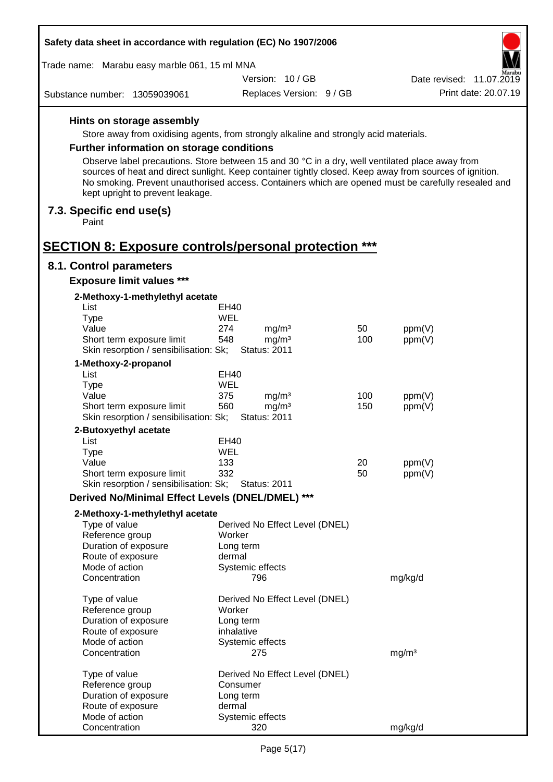| Safety data sheet in accordance with regulation (EC) No 1907/2006                               |             |                                          |     |                                                                                                                                                                                                                |  |  |
|-------------------------------------------------------------------------------------------------|-------------|------------------------------------------|-----|----------------------------------------------------------------------------------------------------------------------------------------------------------------------------------------------------------------|--|--|
| Trade name: Marabu easy marble 061, 15 ml MNA                                                   |             |                                          |     | Aarabu                                                                                                                                                                                                         |  |  |
|                                                                                                 |             | Version: 10/GB                           |     | Date revised: 11.07.2019                                                                                                                                                                                       |  |  |
| Substance number: 13059039061                                                                   |             | Replaces Version: 9 / GB                 |     | Print date: 20.07.19                                                                                                                                                                                           |  |  |
| Hints on storage assembly                                                                       |             |                                          |     |                                                                                                                                                                                                                |  |  |
| Store away from oxidising agents, from strongly alkaline and strongly acid materials.           |             |                                          |     |                                                                                                                                                                                                                |  |  |
| <b>Further information on storage conditions</b>                                                |             |                                          |     |                                                                                                                                                                                                                |  |  |
| Observe label precautions. Store between 15 and 30 °C in a dry, well ventilated place away from |             |                                          |     |                                                                                                                                                                                                                |  |  |
| kept upright to prevent leakage.                                                                |             |                                          |     | sources of heat and direct sunlight. Keep container tightly closed. Keep away from sources of ignition.<br>No smoking. Prevent unauthorised access. Containers which are opened must be carefully resealed and |  |  |
| 7.3. Specific end use(s)<br>Paint                                                               |             |                                          |     |                                                                                                                                                                                                                |  |  |
| <b>SECTION 8: Exposure controls/personal protection ***</b>                                     |             |                                          |     |                                                                                                                                                                                                                |  |  |
| 8.1. Control parameters                                                                         |             |                                          |     |                                                                                                                                                                                                                |  |  |
| <b>Exposure limit values ***</b>                                                                |             |                                          |     |                                                                                                                                                                                                                |  |  |
| 2-Methoxy-1-methylethyl acetate<br>List                                                         |             |                                          |     |                                                                                                                                                                                                                |  |  |
| <b>Type</b>                                                                                     | EH40<br>WEL |                                          |     |                                                                                                                                                                                                                |  |  |
| Value                                                                                           | 274         | mg/m <sup>3</sup>                        | 50  | ppm(V)                                                                                                                                                                                                         |  |  |
| Short term exposure limit                                                                       | 548         | mg/m <sup>3</sup>                        | 100 | ppm(V)                                                                                                                                                                                                         |  |  |
| Skin resorption / sensibilisation: Sk;                                                          |             | <b>Status: 2011</b>                      |     |                                                                                                                                                                                                                |  |  |
| 1-Methoxy-2-propanol                                                                            |             |                                          |     |                                                                                                                                                                                                                |  |  |
| List                                                                                            | EH40        |                                          |     |                                                                                                                                                                                                                |  |  |
| <b>Type</b>                                                                                     | WEL         |                                          |     |                                                                                                                                                                                                                |  |  |
| Value                                                                                           | 375<br>560  | mg/m <sup>3</sup>                        | 100 | ppm(V)                                                                                                                                                                                                         |  |  |
| Short term exposure limit<br>Skin resorption / sensibilisation: Sk;                             |             | mg/m <sup>3</sup><br><b>Status: 2011</b> | 150 | ppm(V)                                                                                                                                                                                                         |  |  |
| 2-Butoxyethyl acetate                                                                           |             |                                          |     |                                                                                                                                                                                                                |  |  |
| List                                                                                            | EH40        |                                          |     |                                                                                                                                                                                                                |  |  |
| Type                                                                                            | WEL         |                                          |     |                                                                                                                                                                                                                |  |  |
| Value                                                                                           | 133         |                                          | 20  | ppm(V)                                                                                                                                                                                                         |  |  |
| Short term exposure limit                                                                       | 332         |                                          | 50  | ppm(V)                                                                                                                                                                                                         |  |  |
| Skin resorption / sensibilisation: Sk;                                                          |             | <b>Status: 2011</b>                      |     |                                                                                                                                                                                                                |  |  |
| Derived No/Minimal Effect Levels (DNEL/DMEL) ***                                                |             |                                          |     |                                                                                                                                                                                                                |  |  |
| 2-Methoxy-1-methylethyl acetate                                                                 |             |                                          |     |                                                                                                                                                                                                                |  |  |
| Type of value                                                                                   |             | Derived No Effect Level (DNEL)           |     |                                                                                                                                                                                                                |  |  |
| Reference group                                                                                 |             | Worker                                   |     |                                                                                                                                                                                                                |  |  |
| Duration of exposure                                                                            |             | Long term<br>dermal                      |     |                                                                                                                                                                                                                |  |  |
| Route of exposure<br>Mode of action                                                             |             | Systemic effects                         |     |                                                                                                                                                                                                                |  |  |
| Concentration                                                                                   |             | 796                                      |     | mg/kg/d                                                                                                                                                                                                        |  |  |
| Type of value                                                                                   |             | Derived No Effect Level (DNEL)           |     |                                                                                                                                                                                                                |  |  |
| Reference group                                                                                 |             | Worker                                   |     |                                                                                                                                                                                                                |  |  |
| Duration of exposure                                                                            |             | Long term                                |     |                                                                                                                                                                                                                |  |  |
| Route of exposure                                                                               |             | inhalative                               |     |                                                                                                                                                                                                                |  |  |
| Mode of action<br>Concentration                                                                 |             | Systemic effects<br>275                  |     | mg/m <sup>3</sup>                                                                                                                                                                                              |  |  |
| Type of value                                                                                   |             | Derived No Effect Level (DNEL)           |     |                                                                                                                                                                                                                |  |  |
| Reference group                                                                                 |             | Consumer                                 |     |                                                                                                                                                                                                                |  |  |
| Duration of exposure                                                                            |             | Long term                                |     |                                                                                                                                                                                                                |  |  |
| Route of exposure                                                                               |             | dermal                                   |     |                                                                                                                                                                                                                |  |  |
| Mode of action                                                                                  |             | Systemic effects                         |     |                                                                                                                                                                                                                |  |  |
| Concentration                                                                                   |             | 320                                      |     | mg/kg/d                                                                                                                                                                                                        |  |  |

 $\Gamma$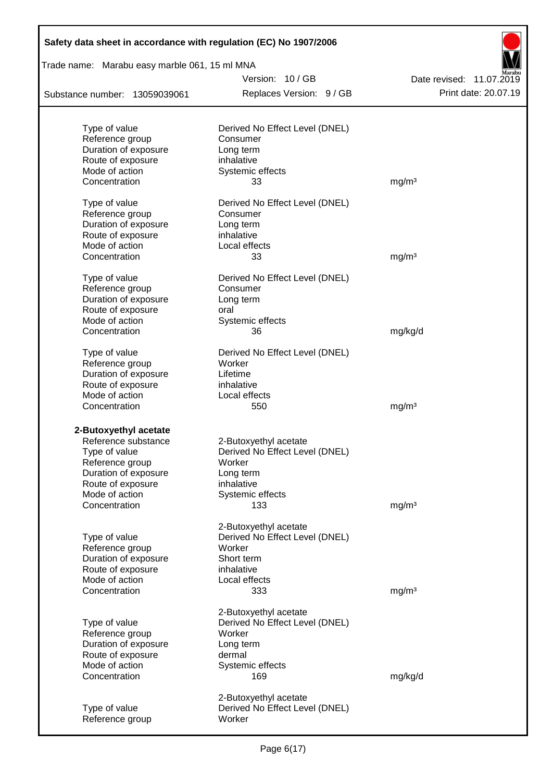| Safety data sheet in accordance with regulation (EC) No 1907/2006 |                                                         |                          |  |  |  |  |
|-------------------------------------------------------------------|---------------------------------------------------------|--------------------------|--|--|--|--|
| Trade name: Marabu easy marble 061, 15 ml MNA                     | Version: 10/GB                                          |                          |  |  |  |  |
|                                                                   |                                                         | Date revised: 11.07.2019 |  |  |  |  |
| Substance number: 13059039061                                     | Replaces Version: 9 / GB                                | Print date: 20.07.19     |  |  |  |  |
| Type of value                                                     | Derived No Effect Level (DNEL)                          |                          |  |  |  |  |
| Reference group                                                   | Consumer                                                |                          |  |  |  |  |
| Duration of exposure                                              | Long term                                               |                          |  |  |  |  |
| Route of exposure                                                 | inhalative                                              |                          |  |  |  |  |
| Mode of action                                                    | Systemic effects                                        |                          |  |  |  |  |
| Concentration                                                     | 33                                                      | mg/m <sup>3</sup>        |  |  |  |  |
| Type of value                                                     | Derived No Effect Level (DNEL)                          |                          |  |  |  |  |
| Reference group                                                   | Consumer                                                |                          |  |  |  |  |
| Duration of exposure                                              | Long term                                               |                          |  |  |  |  |
| Route of exposure                                                 | inhalative                                              |                          |  |  |  |  |
| Mode of action                                                    | Local effects                                           |                          |  |  |  |  |
| Concentration                                                     | 33                                                      | mg/m <sup>3</sup>        |  |  |  |  |
| Type of value                                                     | Derived No Effect Level (DNEL)                          |                          |  |  |  |  |
| Reference group                                                   | Consumer                                                |                          |  |  |  |  |
| Duration of exposure                                              | Long term                                               |                          |  |  |  |  |
| Route of exposure                                                 | oral                                                    |                          |  |  |  |  |
| Mode of action                                                    | Systemic effects                                        |                          |  |  |  |  |
| Concentration                                                     | 36                                                      | mg/kg/d                  |  |  |  |  |
| Type of value                                                     | Derived No Effect Level (DNEL)                          |                          |  |  |  |  |
| Reference group                                                   | Worker                                                  |                          |  |  |  |  |
| Duration of exposure                                              | Lifetime                                                |                          |  |  |  |  |
| Route of exposure                                                 | inhalative                                              |                          |  |  |  |  |
| Mode of action                                                    | Local effects                                           |                          |  |  |  |  |
| Concentration                                                     | 550                                                     | mg/m <sup>3</sup>        |  |  |  |  |
| 2-Butoxyethyl acetate                                             |                                                         |                          |  |  |  |  |
| Reference substance                                               | 2-Butoxyethyl acetate                                   |                          |  |  |  |  |
| Type of value                                                     | Derived No Effect Level (DNEL)                          |                          |  |  |  |  |
| Reference group                                                   | Worker                                                  |                          |  |  |  |  |
| Duration of exposure                                              | Long term                                               |                          |  |  |  |  |
| Route of exposure                                                 | inhalative                                              |                          |  |  |  |  |
| Mode of action                                                    | Systemic effects                                        |                          |  |  |  |  |
| Concentration                                                     | 133                                                     | mg/m <sup>3</sup>        |  |  |  |  |
|                                                                   | 2-Butoxyethyl acetate                                   |                          |  |  |  |  |
| Type of value                                                     | Derived No Effect Level (DNEL)                          |                          |  |  |  |  |
| Reference group                                                   | Worker                                                  |                          |  |  |  |  |
| Duration of exposure                                              | Short term                                              |                          |  |  |  |  |
| Route of exposure                                                 | inhalative                                              |                          |  |  |  |  |
| Mode of action                                                    | Local effects                                           |                          |  |  |  |  |
| Concentration                                                     | 333                                                     | mg/m <sup>3</sup>        |  |  |  |  |
|                                                                   | 2-Butoxyethyl acetate                                   |                          |  |  |  |  |
| Type of value                                                     | Derived No Effect Level (DNEL)                          |                          |  |  |  |  |
| Reference group                                                   | Worker                                                  |                          |  |  |  |  |
| Duration of exposure                                              | Long term                                               |                          |  |  |  |  |
| Route of exposure                                                 | dermal                                                  |                          |  |  |  |  |
| Mode of action                                                    | Systemic effects                                        |                          |  |  |  |  |
| Concentration                                                     | 169                                                     | mg/kg/d                  |  |  |  |  |
|                                                                   |                                                         |                          |  |  |  |  |
| Type of value                                                     | 2-Butoxyethyl acetate<br>Derived No Effect Level (DNEL) |                          |  |  |  |  |
| Reference group                                                   | Worker                                                  |                          |  |  |  |  |
|                                                                   |                                                         |                          |  |  |  |  |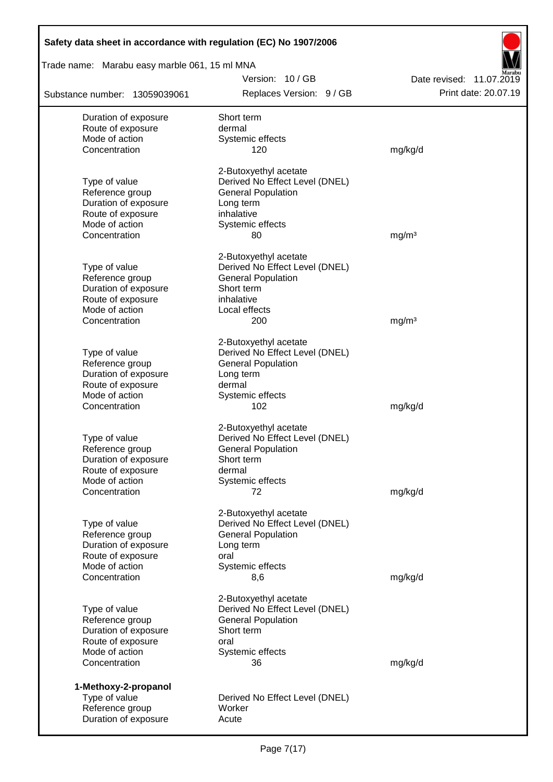| Safety data sheet in accordance with regulation (EC) No 1907/2006 |                                                         |                                                  |  |  |  |  |
|-------------------------------------------------------------------|---------------------------------------------------------|--------------------------------------------------|--|--|--|--|
| Trade name: Marabu easy marble 061, 15 ml MNA                     |                                                         |                                                  |  |  |  |  |
|                                                                   | Version: 10/GB<br>Replaces Version: 9 / GB              | Date revised: 11.07.2019<br>Print date: 20.07.19 |  |  |  |  |
| Substance number: 13059039061                                     |                                                         |                                                  |  |  |  |  |
| Duration of exposure<br>Route of exposure                         | Short term<br>dermal                                    |                                                  |  |  |  |  |
| Mode of action                                                    | Systemic effects                                        |                                                  |  |  |  |  |
| Concentration                                                     | 120                                                     | mg/kg/d                                          |  |  |  |  |
|                                                                   | 2-Butoxyethyl acetate                                   |                                                  |  |  |  |  |
| Type of value                                                     | Derived No Effect Level (DNEL)                          |                                                  |  |  |  |  |
| Reference group                                                   | <b>General Population</b>                               |                                                  |  |  |  |  |
| Duration of exposure<br>Route of exposure                         | Long term<br>inhalative                                 |                                                  |  |  |  |  |
| Mode of action                                                    | Systemic effects                                        |                                                  |  |  |  |  |
| Concentration                                                     | 80                                                      | mg/m <sup>3</sup>                                |  |  |  |  |
|                                                                   | 2-Butoxyethyl acetate                                   |                                                  |  |  |  |  |
| Type of value                                                     | Derived No Effect Level (DNEL)                          |                                                  |  |  |  |  |
| Reference group                                                   | <b>General Population</b>                               |                                                  |  |  |  |  |
| Duration of exposure<br>Route of exposure                         | Short term<br>inhalative                                |                                                  |  |  |  |  |
| Mode of action                                                    | Local effects                                           |                                                  |  |  |  |  |
| Concentration                                                     | 200                                                     | mg/m <sup>3</sup>                                |  |  |  |  |
|                                                                   | 2-Butoxyethyl acetate                                   |                                                  |  |  |  |  |
| Type of value                                                     | Derived No Effect Level (DNEL)                          |                                                  |  |  |  |  |
| Reference group                                                   | <b>General Population</b>                               |                                                  |  |  |  |  |
| Duration of exposure                                              | Long term                                               |                                                  |  |  |  |  |
| Route of exposure<br>Mode of action                               | dermal<br>Systemic effects                              |                                                  |  |  |  |  |
| Concentration                                                     | 102                                                     | mg/kg/d                                          |  |  |  |  |
|                                                                   | 2-Butoxyethyl acetate                                   |                                                  |  |  |  |  |
| Type of value                                                     | Derived No Effect Level (DNEL)                          |                                                  |  |  |  |  |
| Reference group                                                   | <b>General Population</b>                               |                                                  |  |  |  |  |
| Duration of exposure                                              | Short term                                              |                                                  |  |  |  |  |
| Route of exposure<br>Mode of action                               | dermal<br>Systemic effects                              |                                                  |  |  |  |  |
| Concentration                                                     | 72                                                      | mg/kg/d                                          |  |  |  |  |
|                                                                   |                                                         |                                                  |  |  |  |  |
| Type of value                                                     | 2-Butoxyethyl acetate<br>Derived No Effect Level (DNEL) |                                                  |  |  |  |  |
| Reference group                                                   | <b>General Population</b>                               |                                                  |  |  |  |  |
| Duration of exposure                                              | Long term                                               |                                                  |  |  |  |  |
| Route of exposure                                                 | oral                                                    |                                                  |  |  |  |  |
| Mode of action<br>Concentration                                   | Systemic effects<br>8,6                                 | mg/kg/d                                          |  |  |  |  |
|                                                                   |                                                         |                                                  |  |  |  |  |
| Type of value                                                     | 2-Butoxyethyl acetate<br>Derived No Effect Level (DNEL) |                                                  |  |  |  |  |
| Reference group                                                   | <b>General Population</b>                               |                                                  |  |  |  |  |
| Duration of exposure                                              | Short term                                              |                                                  |  |  |  |  |
| Route of exposure                                                 | oral                                                    |                                                  |  |  |  |  |
| Mode of action<br>Concentration                                   | Systemic effects<br>36                                  | mg/kg/d                                          |  |  |  |  |
|                                                                   |                                                         |                                                  |  |  |  |  |
| 1-Methoxy-2-propanol<br>Type of value                             | Derived No Effect Level (DNEL)                          |                                                  |  |  |  |  |
| Reference group                                                   | Worker                                                  |                                                  |  |  |  |  |
| Duration of exposure                                              | Acute                                                   |                                                  |  |  |  |  |

Г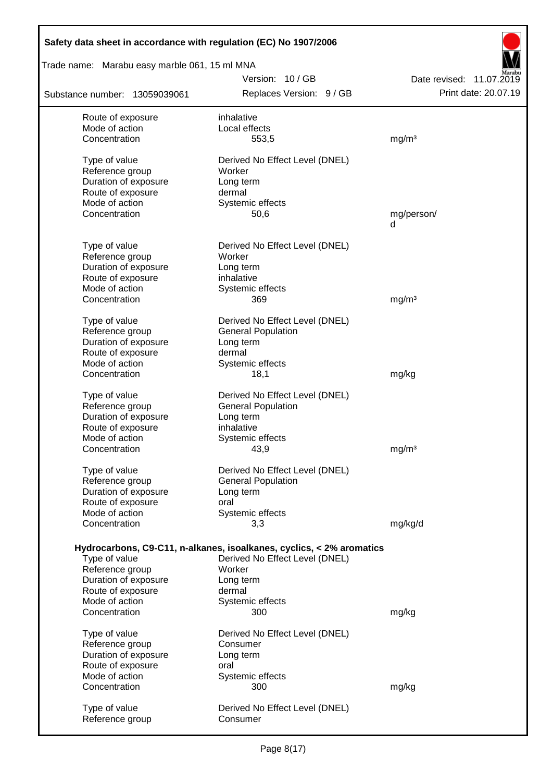| Safety data sheet in accordance with regulation (EC) No 1907/2006 |                                                                      |                          |
|-------------------------------------------------------------------|----------------------------------------------------------------------|--------------------------|
| Trade name: Marabu easy marble 061, 15 ml MNA                     |                                                                      |                          |
|                                                                   | Version: 10/GB                                                       | Date revised: 11.07.2019 |
| Substance number: 13059039061                                     | Replaces Version: 9 / GB                                             | Print date: 20.07.19     |
| Route of exposure                                                 | inhalative                                                           |                          |
| Mode of action                                                    | Local effects                                                        |                          |
| Concentration                                                     | 553,5                                                                | mg/m <sup>3</sup>        |
| Type of value                                                     | Derived No Effect Level (DNEL)                                       |                          |
| Reference group                                                   | Worker                                                               |                          |
| Duration of exposure                                              | Long term                                                            |                          |
| Route of exposure                                                 | dermal                                                               |                          |
| Mode of action                                                    | Systemic effects                                                     |                          |
| Concentration                                                     | 50,6                                                                 | mg/person/<br>d          |
| Type of value                                                     | Derived No Effect Level (DNEL)                                       |                          |
| Reference group                                                   | Worker                                                               |                          |
| Duration of exposure                                              | Long term                                                            |                          |
| Route of exposure                                                 | inhalative                                                           |                          |
| Mode of action                                                    | Systemic effects                                                     |                          |
| Concentration                                                     | 369                                                                  | mg/m <sup>3</sup>        |
| Type of value                                                     | Derived No Effect Level (DNEL)                                       |                          |
| Reference group                                                   | <b>General Population</b>                                            |                          |
| Duration of exposure                                              | Long term                                                            |                          |
| Route of exposure                                                 | dermal                                                               |                          |
| Mode of action                                                    | Systemic effects                                                     |                          |
| Concentration                                                     | 18,1                                                                 | mg/kg                    |
| Type of value                                                     | Derived No Effect Level (DNEL)                                       |                          |
| Reference group                                                   | <b>General Population</b>                                            |                          |
| Duration of exposure                                              | Long term                                                            |                          |
| Route of exposure                                                 | inhalative                                                           |                          |
| Mode of action                                                    | Systemic effects                                                     |                          |
| Concentration                                                     | 43,9                                                                 | mg/m <sup>3</sup>        |
| Type of value                                                     | Derived No Effect Level (DNEL)                                       |                          |
| Reference group                                                   | <b>General Population</b>                                            |                          |
| Duration of exposure                                              | Long term                                                            |                          |
| Route of exposure                                                 | oral                                                                 |                          |
| Mode of action                                                    | Systemic effects                                                     |                          |
| Concentration                                                     | 3,3                                                                  | mg/kg/d                  |
|                                                                   | Hydrocarbons, C9-C11, n-alkanes, isoalkanes, cyclics, < 2% aromatics |                          |
| Type of value                                                     | Derived No Effect Level (DNEL)                                       |                          |
| Reference group                                                   | Worker                                                               |                          |
| Duration of exposure                                              | Long term                                                            |                          |
| Route of exposure                                                 | dermal                                                               |                          |
| Mode of action                                                    | Systemic effects                                                     |                          |
| Concentration                                                     | 300                                                                  | mg/kg                    |
| Type of value                                                     | Derived No Effect Level (DNEL)                                       |                          |
| Reference group                                                   | Consumer                                                             |                          |
| Duration of exposure                                              | Long term                                                            |                          |
| Route of exposure                                                 | oral                                                                 |                          |
| Mode of action                                                    | Systemic effects                                                     |                          |
| Concentration                                                     | 300                                                                  | mg/kg                    |
| Type of value                                                     | Derived No Effect Level (DNEL)                                       |                          |
| Reference group                                                   | Consumer                                                             |                          |
|                                                                   |                                                                      |                          |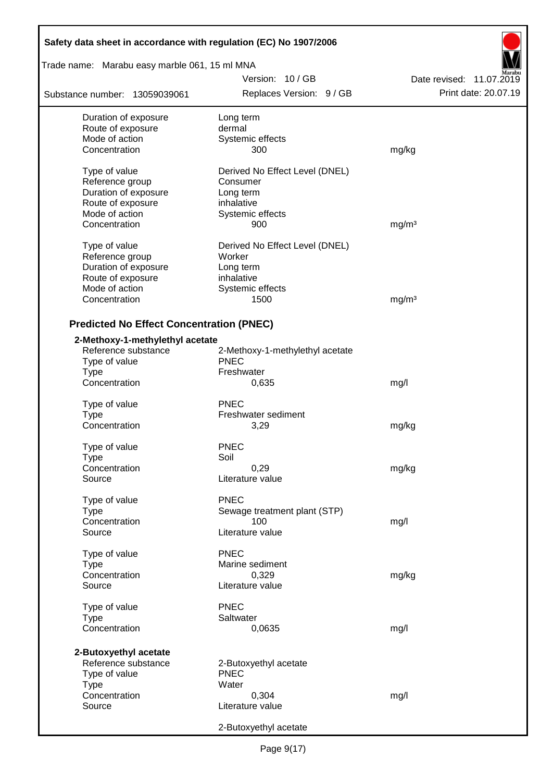| Safety data sheet in accordance with regulation (EC) No 1907/2006 |                                 |                          |  |  |  |  |
|-------------------------------------------------------------------|---------------------------------|--------------------------|--|--|--|--|
| Trade name: Marabu easy marble 061, 15 ml MNA                     |                                 |                          |  |  |  |  |
|                                                                   | Version: 10/GB                  | Date revised: 11.07.2019 |  |  |  |  |
| Substance number: 13059039061                                     | Replaces Version: 9 / GB        | Print date: 20.07.19     |  |  |  |  |
| Duration of exposure                                              | Long term                       |                          |  |  |  |  |
| Route of exposure                                                 | dermal                          |                          |  |  |  |  |
| Mode of action                                                    | Systemic effects                |                          |  |  |  |  |
| Concentration                                                     | 300                             | mg/kg                    |  |  |  |  |
| Type of value                                                     | Derived No Effect Level (DNEL)  |                          |  |  |  |  |
| Reference group                                                   | Consumer                        |                          |  |  |  |  |
| Duration of exposure                                              | Long term                       |                          |  |  |  |  |
| Route of exposure                                                 | inhalative                      |                          |  |  |  |  |
| Mode of action                                                    | Systemic effects                |                          |  |  |  |  |
| Concentration                                                     | 900                             | mg/m <sup>3</sup>        |  |  |  |  |
| Type of value                                                     | Derived No Effect Level (DNEL)  |                          |  |  |  |  |
| Reference group                                                   | Worker                          |                          |  |  |  |  |
| Duration of exposure                                              | Long term                       |                          |  |  |  |  |
| Route of exposure                                                 | inhalative                      |                          |  |  |  |  |
| Mode of action                                                    | Systemic effects                |                          |  |  |  |  |
| Concentration                                                     | 1500                            | mg/m <sup>3</sup>        |  |  |  |  |
| <b>Predicted No Effect Concentration (PNEC)</b>                   |                                 |                          |  |  |  |  |
| 2-Methoxy-1-methylethyl acetate                                   |                                 |                          |  |  |  |  |
| Reference substance                                               | 2-Methoxy-1-methylethyl acetate |                          |  |  |  |  |
| Type of value                                                     | <b>PNEC</b>                     |                          |  |  |  |  |
| <b>Type</b>                                                       | Freshwater                      |                          |  |  |  |  |
| Concentration                                                     | 0,635                           | mg/l                     |  |  |  |  |
| Type of value                                                     | <b>PNEC</b>                     |                          |  |  |  |  |
| <b>Type</b>                                                       | Freshwater sediment             |                          |  |  |  |  |
| Concentration                                                     | 3,29                            | mg/kg                    |  |  |  |  |
| Type of value                                                     | <b>PNEC</b>                     |                          |  |  |  |  |
| Type                                                              | Soil                            |                          |  |  |  |  |
| Concentration                                                     | 0,29                            | mg/kg                    |  |  |  |  |
| Source                                                            | Literature value                |                          |  |  |  |  |
| Type of value                                                     | <b>PNEC</b>                     |                          |  |  |  |  |
| <b>Type</b>                                                       | Sewage treatment plant (STP)    |                          |  |  |  |  |
| Concentration                                                     | 100                             | mg/l                     |  |  |  |  |
| Source                                                            | Literature value                |                          |  |  |  |  |
| Type of value                                                     | <b>PNEC</b>                     |                          |  |  |  |  |
| Type                                                              | Marine sediment                 |                          |  |  |  |  |
| Concentration                                                     | 0,329                           | mg/kg                    |  |  |  |  |
| Source                                                            | Literature value                |                          |  |  |  |  |
| Type of value                                                     | <b>PNEC</b>                     |                          |  |  |  |  |
| <b>Type</b>                                                       | Saltwater                       |                          |  |  |  |  |
| Concentration                                                     | 0,0635                          | mg/l                     |  |  |  |  |
| 2-Butoxyethyl acetate                                             |                                 |                          |  |  |  |  |
| Reference substance                                               | 2-Butoxyethyl acetate           |                          |  |  |  |  |
| Type of value                                                     | <b>PNEC</b>                     |                          |  |  |  |  |
| <b>Type</b>                                                       | Water                           |                          |  |  |  |  |
| Concentration                                                     | 0,304                           | mg/l                     |  |  |  |  |
| Source                                                            | Literature value                |                          |  |  |  |  |
|                                                                   | 2-Butoxyethyl acetate           |                          |  |  |  |  |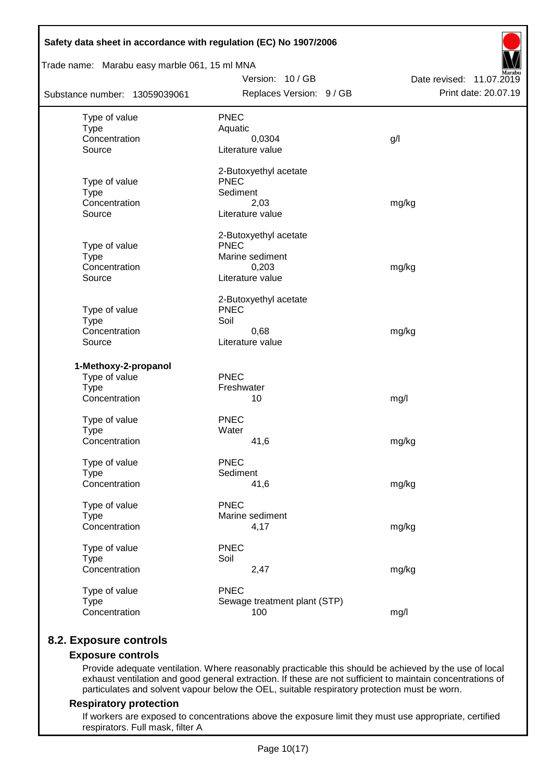| Trade name: Marabu easy marble 061, 15 ml MNA |                                |                          |  |  |  |  |  |  |
|-----------------------------------------------|--------------------------------|--------------------------|--|--|--|--|--|--|
|                                               | Version: 10/GB                 | Date revised: 11.07.2019 |  |  |  |  |  |  |
| Substance number: 13059039061                 | Replaces Version: 9 / GB       | Print date: 20.07.19     |  |  |  |  |  |  |
| Type of value                                 | <b>PNEC</b>                    |                          |  |  |  |  |  |  |
| <b>Type</b>                                   | Aquatic                        |                          |  |  |  |  |  |  |
| Concentration                                 | 0,0304                         | g/l                      |  |  |  |  |  |  |
| Source                                        | Literature value               |                          |  |  |  |  |  |  |
|                                               | 2-Butoxyethyl acetate          |                          |  |  |  |  |  |  |
| Type of value                                 | <b>PNEC</b>                    |                          |  |  |  |  |  |  |
| <b>Type</b>                                   | Sediment                       |                          |  |  |  |  |  |  |
| Concentration<br>Source                       | 2,03<br>Literature value       | mg/kg                    |  |  |  |  |  |  |
|                                               |                                |                          |  |  |  |  |  |  |
|                                               | 2-Butoxyethyl acetate          |                          |  |  |  |  |  |  |
| Type of value                                 | <b>PNEC</b><br>Marine sediment |                          |  |  |  |  |  |  |
| <b>Type</b><br>Concentration                  | 0,203                          | mg/kg                    |  |  |  |  |  |  |
| Source                                        | Literature value               |                          |  |  |  |  |  |  |
|                                               | 2-Butoxyethyl acetate          |                          |  |  |  |  |  |  |
| Type of value                                 | <b>PNEC</b>                    |                          |  |  |  |  |  |  |
| <b>Type</b>                                   | Soil                           |                          |  |  |  |  |  |  |
| Concentration                                 | 0,68                           | mg/kg                    |  |  |  |  |  |  |
| Source                                        | Literature value               |                          |  |  |  |  |  |  |
| 1-Methoxy-2-propanol                          |                                |                          |  |  |  |  |  |  |
| Type of value                                 | <b>PNEC</b>                    |                          |  |  |  |  |  |  |
| <b>Type</b>                                   | Freshwater                     |                          |  |  |  |  |  |  |
| Concentration                                 | 10                             | mg/l                     |  |  |  |  |  |  |
| Type of value                                 | <b>PNEC</b>                    |                          |  |  |  |  |  |  |
| <b>Type</b>                                   | Water                          |                          |  |  |  |  |  |  |
| Concentration                                 | 41,6                           | mg/kg                    |  |  |  |  |  |  |
| Type of value                                 | <b>PNEC</b>                    |                          |  |  |  |  |  |  |
| <b>Type</b>                                   | Sediment                       |                          |  |  |  |  |  |  |
| Concentration                                 | 41,6                           | mg/kg                    |  |  |  |  |  |  |
| Type of value                                 | <b>PNEC</b>                    |                          |  |  |  |  |  |  |
| <b>Type</b>                                   | Marine sediment                |                          |  |  |  |  |  |  |
| Concentration                                 | 4,17                           | mg/kg                    |  |  |  |  |  |  |
| Type of value                                 | <b>PNEC</b>                    |                          |  |  |  |  |  |  |
| <b>Type</b>                                   | Soil                           |                          |  |  |  |  |  |  |
| Concentration                                 | 2,47                           | mg/kg                    |  |  |  |  |  |  |
| Type of value                                 | <b>PNEC</b>                    |                          |  |  |  |  |  |  |
| <b>Type</b>                                   | Sewage treatment plant (STP)   |                          |  |  |  |  |  |  |
| Concentration                                 | 100                            | mg/l                     |  |  |  |  |  |  |

## **8.2. Exposure controls**

## **Exposure controls**

Provide adequate ventilation. Where reasonably practicable this should be achieved by the use of local exhaust ventilation and good general extraction. If these are not sufficient to maintain concentrations of particulates and solvent vapour below the OEL, suitable respiratory protection must be worn.

#### **Respiratory protection**

If workers are exposed to concentrations above the exposure limit they must use appropriate, certified respirators. Full mask, filter A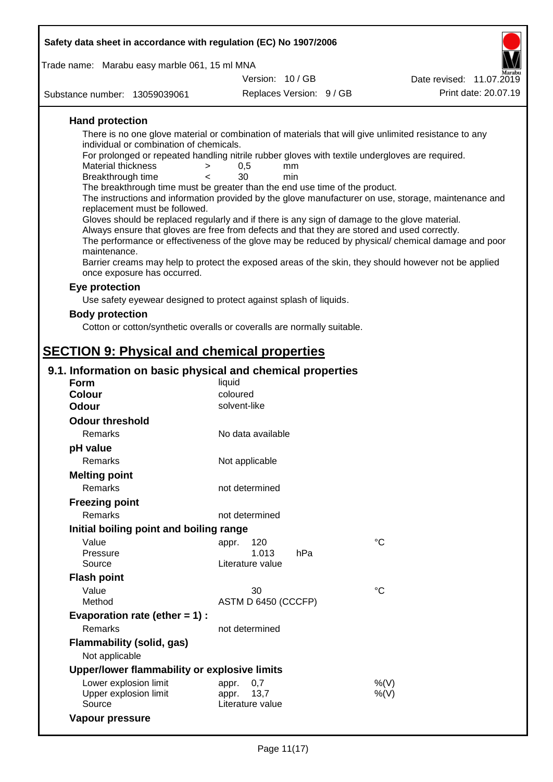| Safety data sheet in accordance with regulation (EC) No 1907/2006                                                     |                           |             |                                                                                                      |
|-----------------------------------------------------------------------------------------------------------------------|---------------------------|-------------|------------------------------------------------------------------------------------------------------|
| Trade name: Marabu easy marble 061, 15 ml MNA                                                                         |                           |             |                                                                                                      |
|                                                                                                                       | Version: 10/GB            |             | Date revised: 11.07.2019                                                                             |
| Substance number: 13059039061                                                                                         | Replaces Version: 9 / GB  |             | Print date: 20.07.19                                                                                 |
| <b>Hand protection</b>                                                                                                |                           |             |                                                                                                      |
| There is no one glove material or combination of materials that will give unlimited resistance to any                 |                           |             |                                                                                                      |
| individual or combination of chemicals.                                                                               |                           |             |                                                                                                      |
| For prolonged or repeated handling nitrile rubber gloves with textile undergloves are required.<br>Material thickness | 0,5<br>mm<br>$\geq$       |             |                                                                                                      |
| Breakthrough time                                                                                                     | 30<br>min<br>$\lt$        |             |                                                                                                      |
| The breakthrough time must be greater than the end use time of the product.                                           |                           |             |                                                                                                      |
| replacement must be followed.                                                                                         |                           |             | The instructions and information provided by the glove manufacturer on use, storage, maintenance and |
| Gloves should be replaced regularly and if there is any sign of damage to the glove material.                         |                           |             |                                                                                                      |
| Always ensure that gloves are free from defects and that they are stored and used correctly.                          |                           |             |                                                                                                      |
| maintenance.                                                                                                          |                           |             | The performance or effectiveness of the glove may be reduced by physical/ chemical damage and poor   |
|                                                                                                                       |                           |             | Barrier creams may help to protect the exposed areas of the skin, they should however not be applied |
| once exposure has occurred.                                                                                           |                           |             |                                                                                                      |
| Eye protection                                                                                                        |                           |             |                                                                                                      |
| Use safety eyewear designed to protect against splash of liquids.                                                     |                           |             |                                                                                                      |
| <b>Body protection</b>                                                                                                |                           |             |                                                                                                      |
| Cotton or cotton/synthetic overalls or coveralls are normally suitable.                                               |                           |             |                                                                                                      |
|                                                                                                                       |                           |             |                                                                                                      |
| <b>SECTION 9: Physical and chemical properties</b>                                                                    |                           |             |                                                                                                      |
| 9.1. Information on basic physical and chemical properties                                                            |                           |             |                                                                                                      |
| <b>Form</b><br><b>Colour</b>                                                                                          | liquid<br>coloured        |             |                                                                                                      |
| Odour                                                                                                                 | solvent-like              |             |                                                                                                      |
| <b>Odour threshold</b>                                                                                                |                           |             |                                                                                                      |
| <b>Remarks</b>                                                                                                        | No data available         |             |                                                                                                      |
| pH value                                                                                                              |                           |             |                                                                                                      |
| Remarks                                                                                                               | Not applicable            |             |                                                                                                      |
| <b>Melting point</b>                                                                                                  |                           |             |                                                                                                      |
| Remarks                                                                                                               | not determined            |             |                                                                                                      |
| <b>Freezing point</b>                                                                                                 |                           |             |                                                                                                      |
| Remarks                                                                                                               | not determined            |             |                                                                                                      |
| Initial boiling point and boiling range                                                                               |                           |             |                                                                                                      |
| Value                                                                                                                 | 120<br>appr.              | $^{\circ}C$ |                                                                                                      |
| Pressure                                                                                                              | 1.013                     | hPa         |                                                                                                      |
| Source                                                                                                                | Literature value          |             |                                                                                                      |
| <b>Flash point</b>                                                                                                    |                           |             |                                                                                                      |
| Value<br>Method                                                                                                       | 30<br>ASTM D 6450 (CCCFP) | $^{\circ}C$ |                                                                                                      |
| Evaporation rate (ether $= 1$ ) :                                                                                     |                           |             |                                                                                                      |
| Remarks                                                                                                               | not determined            |             |                                                                                                      |
| <b>Flammability (solid, gas)</b>                                                                                      |                           |             |                                                                                                      |
| Not applicable                                                                                                        |                           |             |                                                                                                      |
| Upper/lower flammability or explosive limits                                                                          |                           |             |                                                                                                      |
| Lower explosion limit                                                                                                 | 0,7<br>appr.              |             | %(V)                                                                                                 |
| Upper explosion limit                                                                                                 | 13,7<br>appr.             |             | $%$ (V)                                                                                              |
| Source                                                                                                                | Literature value          |             |                                                                                                      |

**Vapour pressure**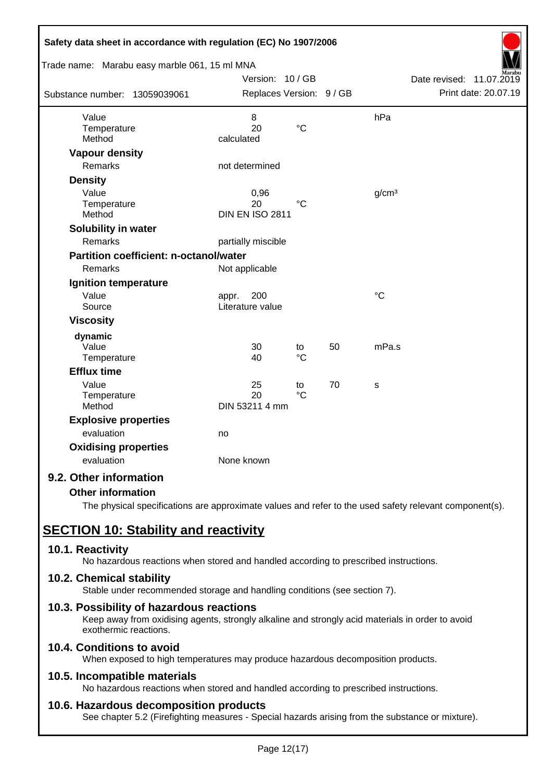| Safety data sheet in accordance with regulation (EC) No 1907/2006 |                                      |                       |    |                   |                             |
|-------------------------------------------------------------------|--------------------------------------|-----------------------|----|-------------------|-----------------------------|
| Trade name: Marabu easy marble 061, 15 ml MNA                     |                                      |                       |    |                   |                             |
|                                                                   | Version: 10 / GB                     |                       |    |                   | Date revised:<br>11.07.2019 |
| Substance number: 13059039061                                     | Replaces Version: 9 / GB             |                       |    |                   | Print date: 20.07.19        |
| Value                                                             | 8                                    |                       |    | hPa               |                             |
| Temperature<br>Method                                             | 20<br>calculated                     | $\rm ^{\circ}C$       |    |                   |                             |
| <b>Vapour density</b>                                             |                                      |                       |    |                   |                             |
| <b>Remarks</b>                                                    | not determined                       |                       |    |                   |                             |
| <b>Density</b>                                                    |                                      |                       |    |                   |                             |
| Value<br>Temperature<br>Method                                    | 0,96<br>20<br><b>DIN EN ISO 2811</b> | $^{\circ}C$           |    | g/cm <sup>3</sup> |                             |
| Solubility in water                                               |                                      |                       |    |                   |                             |
| Remarks                                                           | partially miscible                   |                       |    |                   |                             |
| <b>Partition coefficient: n-octanol/water</b>                     |                                      |                       |    |                   |                             |
| Remarks                                                           | Not applicable                       |                       |    |                   |                             |
| Ignition temperature                                              |                                      |                       |    |                   |                             |
| Value<br>Source                                                   | 200<br>appr.<br>Literature value     |                       |    | $\rm ^{\circ}C$   |                             |
| <b>Viscosity</b>                                                  |                                      |                       |    |                   |                             |
| dynamic                                                           |                                      |                       |    |                   |                             |
| Value<br>Temperature                                              | 30<br>40                             | to<br>$\rm ^{\circ}C$ | 50 | mPa.s             |                             |
| <b>Efflux time</b>                                                |                                      |                       |    |                   |                             |
| Value<br>Temperature<br>Method                                    | 25<br>20<br>DIN 53211 4 mm           | to<br>$^{\circ}C$     | 70 | S                 |                             |
| <b>Explosive properties</b>                                       |                                      |                       |    |                   |                             |
| evaluation                                                        | no                                   |                       |    |                   |                             |
| <b>Oxidising properties</b>                                       |                                      |                       |    |                   |                             |
| evaluation                                                        | None known                           |                       |    |                   |                             |
| 9.2. Other information                                            |                                      |                       |    |                   |                             |

## **Other information**

The physical specifications are approximate values and refer to the used safety relevant component(s).

# **SECTION 10: Stability and reactivity**

## **10.1. Reactivity**

No hazardous reactions when stored and handled according to prescribed instructions.

## **10.2. Chemical stability**

Stable under recommended storage and handling conditions (see section 7).

## **10.3. Possibility of hazardous reactions**

Keep away from oxidising agents, strongly alkaline and strongly acid materials in order to avoid exothermic reactions.

## **10.4. Conditions to avoid**

When exposed to high temperatures may produce hazardous decomposition products.

## **10.5. Incompatible materials**

No hazardous reactions when stored and handled according to prescribed instructions.

## **10.6. Hazardous decomposition products**

See chapter 5.2 (Firefighting measures - Special hazards arising from the substance or mixture).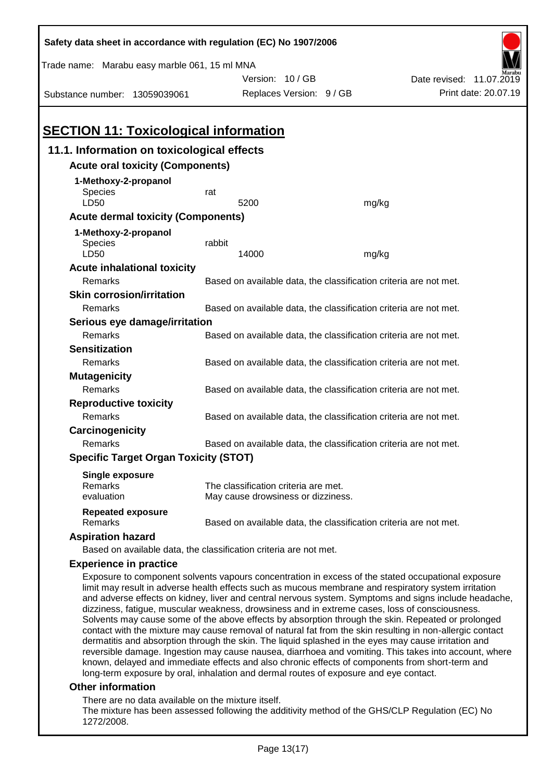| Safety data sheet in accordance with regulation (EC) No 1907/2006                                                                                                                                                                                                                                                                                                                                                                                                                                                                                                                                                                                                                                                                                |                                                                                                       |                                                                   |       |                          |  |  |  |
|--------------------------------------------------------------------------------------------------------------------------------------------------------------------------------------------------------------------------------------------------------------------------------------------------------------------------------------------------------------------------------------------------------------------------------------------------------------------------------------------------------------------------------------------------------------------------------------------------------------------------------------------------------------------------------------------------------------------------------------------------|-------------------------------------------------------------------------------------------------------|-------------------------------------------------------------------|-------|--------------------------|--|--|--|
| Trade name: Marabu easy marble 061, 15 ml MNA                                                                                                                                                                                                                                                                                                                                                                                                                                                                                                                                                                                                                                                                                                    |                                                                                                       |                                                                   |       |                          |  |  |  |
|                                                                                                                                                                                                                                                                                                                                                                                                                                                                                                                                                                                                                                                                                                                                                  |                                                                                                       | Version: 10/GB                                                    |       | Date revised: 11.07.2019 |  |  |  |
| Substance number: 13059039061                                                                                                                                                                                                                                                                                                                                                                                                                                                                                                                                                                                                                                                                                                                    |                                                                                                       | Replaces Version: 9 / GB                                          |       | Print date: 20.07.19     |  |  |  |
|                                                                                                                                                                                                                                                                                                                                                                                                                                                                                                                                                                                                                                                                                                                                                  |                                                                                                       |                                                                   |       |                          |  |  |  |
| <b>SECTION 11: Toxicological information</b>                                                                                                                                                                                                                                                                                                                                                                                                                                                                                                                                                                                                                                                                                                     |                                                                                                       |                                                                   |       |                          |  |  |  |
| 11.1. Information on toxicological effects                                                                                                                                                                                                                                                                                                                                                                                                                                                                                                                                                                                                                                                                                                       |                                                                                                       |                                                                   |       |                          |  |  |  |
| <b>Acute oral toxicity (Components)</b>                                                                                                                                                                                                                                                                                                                                                                                                                                                                                                                                                                                                                                                                                                          |                                                                                                       |                                                                   |       |                          |  |  |  |
| 1-Methoxy-2-propanol                                                                                                                                                                                                                                                                                                                                                                                                                                                                                                                                                                                                                                                                                                                             |                                                                                                       |                                                                   |       |                          |  |  |  |
| Species                                                                                                                                                                                                                                                                                                                                                                                                                                                                                                                                                                                                                                                                                                                                          | rat                                                                                                   |                                                                   |       |                          |  |  |  |
| LD50                                                                                                                                                                                                                                                                                                                                                                                                                                                                                                                                                                                                                                                                                                                                             |                                                                                                       | 5200                                                              | mg/kg |                          |  |  |  |
| <b>Acute dermal toxicity (Components)</b>                                                                                                                                                                                                                                                                                                                                                                                                                                                                                                                                                                                                                                                                                                        |                                                                                                       |                                                                   |       |                          |  |  |  |
| 1-Methoxy-2-propanol                                                                                                                                                                                                                                                                                                                                                                                                                                                                                                                                                                                                                                                                                                                             |                                                                                                       |                                                                   |       |                          |  |  |  |
| <b>Species</b>                                                                                                                                                                                                                                                                                                                                                                                                                                                                                                                                                                                                                                                                                                                                   | rabbit                                                                                                |                                                                   |       |                          |  |  |  |
| LD50                                                                                                                                                                                                                                                                                                                                                                                                                                                                                                                                                                                                                                                                                                                                             |                                                                                                       | 14000                                                             | mg/kg |                          |  |  |  |
| <b>Acute inhalational toxicity</b>                                                                                                                                                                                                                                                                                                                                                                                                                                                                                                                                                                                                                                                                                                               |                                                                                                       |                                                                   |       |                          |  |  |  |
| Remarks                                                                                                                                                                                                                                                                                                                                                                                                                                                                                                                                                                                                                                                                                                                                          |                                                                                                       | Based on available data, the classification criteria are not met. |       |                          |  |  |  |
| <b>Skin corrosion/irritation</b>                                                                                                                                                                                                                                                                                                                                                                                                                                                                                                                                                                                                                                                                                                                 |                                                                                                       |                                                                   |       |                          |  |  |  |
| Remarks                                                                                                                                                                                                                                                                                                                                                                                                                                                                                                                                                                                                                                                                                                                                          |                                                                                                       | Based on available data, the classification criteria are not met. |       |                          |  |  |  |
| Serious eye damage/irritation                                                                                                                                                                                                                                                                                                                                                                                                                                                                                                                                                                                                                                                                                                                    |                                                                                                       |                                                                   |       |                          |  |  |  |
| Remarks                                                                                                                                                                                                                                                                                                                                                                                                                                                                                                                                                                                                                                                                                                                                          |                                                                                                       | Based on available data, the classification criteria are not met. |       |                          |  |  |  |
| <b>Sensitization</b>                                                                                                                                                                                                                                                                                                                                                                                                                                                                                                                                                                                                                                                                                                                             |                                                                                                       |                                                                   |       |                          |  |  |  |
| Remarks                                                                                                                                                                                                                                                                                                                                                                                                                                                                                                                                                                                                                                                                                                                                          |                                                                                                       | Based on available data, the classification criteria are not met. |       |                          |  |  |  |
| <b>Mutagenicity</b><br>Remarks                                                                                                                                                                                                                                                                                                                                                                                                                                                                                                                                                                                                                                                                                                                   |                                                                                                       |                                                                   |       |                          |  |  |  |
|                                                                                                                                                                                                                                                                                                                                                                                                                                                                                                                                                                                                                                                                                                                                                  |                                                                                                       | Based on available data, the classification criteria are not met. |       |                          |  |  |  |
| <b>Reproductive toxicity</b><br>Remarks                                                                                                                                                                                                                                                                                                                                                                                                                                                                                                                                                                                                                                                                                                          |                                                                                                       | Based on available data, the classification criteria are not met. |       |                          |  |  |  |
| Carcinogenicity                                                                                                                                                                                                                                                                                                                                                                                                                                                                                                                                                                                                                                                                                                                                  |                                                                                                       |                                                                   |       |                          |  |  |  |
| Remarks                                                                                                                                                                                                                                                                                                                                                                                                                                                                                                                                                                                                                                                                                                                                          |                                                                                                       | Based on available data, the classification criteria are not met. |       |                          |  |  |  |
| <b>Specific Target Organ Toxicity (STOT)</b>                                                                                                                                                                                                                                                                                                                                                                                                                                                                                                                                                                                                                                                                                                     |                                                                                                       |                                                                   |       |                          |  |  |  |
|                                                                                                                                                                                                                                                                                                                                                                                                                                                                                                                                                                                                                                                                                                                                                  |                                                                                                       |                                                                   |       |                          |  |  |  |
| <b>Single exposure</b><br>Remarks                                                                                                                                                                                                                                                                                                                                                                                                                                                                                                                                                                                                                                                                                                                |                                                                                                       | The classification criteria are met.                              |       |                          |  |  |  |
| evaluation                                                                                                                                                                                                                                                                                                                                                                                                                                                                                                                                                                                                                                                                                                                                       |                                                                                                       | May cause drowsiness or dizziness.                                |       |                          |  |  |  |
| <b>Repeated exposure</b><br>Remarks                                                                                                                                                                                                                                                                                                                                                                                                                                                                                                                                                                                                                                                                                                              |                                                                                                       |                                                                   |       |                          |  |  |  |
|                                                                                                                                                                                                                                                                                                                                                                                                                                                                                                                                                                                                                                                                                                                                                  |                                                                                                       | Based on available data, the classification criteria are not met. |       |                          |  |  |  |
| <b>Aspiration hazard</b><br>Based on available data, the classification criteria are not met.                                                                                                                                                                                                                                                                                                                                                                                                                                                                                                                                                                                                                                                    |                                                                                                       |                                                                   |       |                          |  |  |  |
|                                                                                                                                                                                                                                                                                                                                                                                                                                                                                                                                                                                                                                                                                                                                                  |                                                                                                       |                                                                   |       |                          |  |  |  |
| <b>Experience in practice</b>                                                                                                                                                                                                                                                                                                                                                                                                                                                                                                                                                                                                                                                                                                                    |                                                                                                       |                                                                   |       |                          |  |  |  |
| Exposure to component solvents vapours concentration in excess of the stated occupational exposure<br>limit may result in adverse health effects such as mucous membrane and respiratory system irritation<br>and adverse effects on kidney, liver and central nervous system. Symptoms and signs include headache,<br>dizziness, fatigue, muscular weakness, drowsiness and in extreme cases, loss of consciousness.<br>Solvents may cause some of the above effects by absorption through the skin. Repeated or prolonged<br>contact with the mixture may cause removal of natural fat from the skin resulting in non-allergic contact<br>dermatitis and absorption through the skin. The liquid splashed in the eyes may cause irritation and |                                                                                                       |                                                                   |       |                          |  |  |  |
|                                                                                                                                                                                                                                                                                                                                                                                                                                                                                                                                                                                                                                                                                                                                                  | reversible damage. Ingestion may cause nausea, diarrhoea and vomiting. This takes into account, where |                                                                   |       |                          |  |  |  |

#### **Other information**

There are no data available on the mixture itself.

The mixture has been assessed following the additivity method of the GHS/CLP Regulation (EC) No 1272/2008.

known, delayed and immediate effects and also chronic effects of components from short-term and

long-term exposure by oral, inhalation and dermal routes of exposure and eye contact.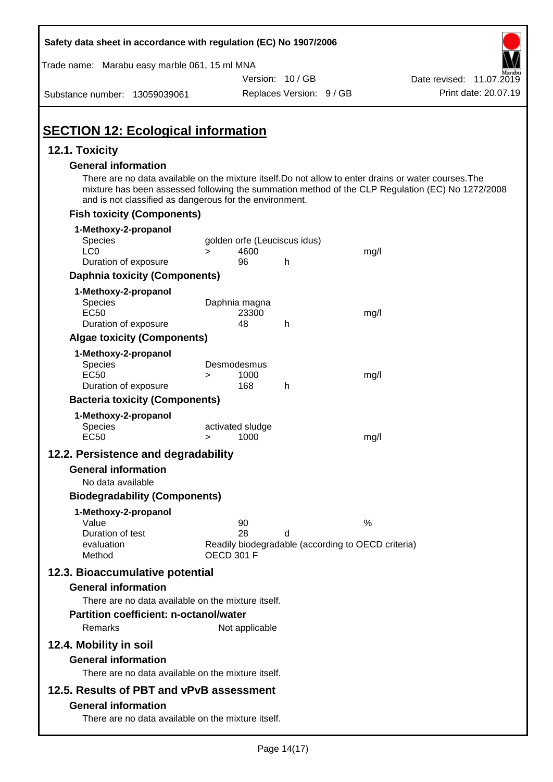| Safety data sheet in accordance with regulation (EC) No 1907/2006                                                                                                                              |                                                                                     |                          |      |                                                                                                  |
|------------------------------------------------------------------------------------------------------------------------------------------------------------------------------------------------|-------------------------------------------------------------------------------------|--------------------------|------|--------------------------------------------------------------------------------------------------|
| Trade name: Marabu easy marble 061, 15 ml MNA                                                                                                                                                  |                                                                                     |                          |      |                                                                                                  |
|                                                                                                                                                                                                |                                                                                     | Version: 10/GB           |      | Date revised: 11.07.2019                                                                         |
| Substance number: 13059039061                                                                                                                                                                  |                                                                                     | Replaces Version: 9 / GB |      | Print date: 20.07.19                                                                             |
| <b>SECTION 12: Ecological information</b>                                                                                                                                                      |                                                                                     |                          |      |                                                                                                  |
| 12.1. Toxicity                                                                                                                                                                                 |                                                                                     |                          |      |                                                                                                  |
| <b>General information</b><br>There are no data available on the mixture itself. Do not allow to enter drains or water courses. The<br>and is not classified as dangerous for the environment. |                                                                                     |                          |      | mixture has been assessed following the summation method of the CLP Regulation (EC) No 1272/2008 |
| <b>Fish toxicity (Components)</b>                                                                                                                                                              |                                                                                     |                          |      |                                                                                                  |
| 1-Methoxy-2-propanol<br>Species<br>LC <sub>0</sub>                                                                                                                                             | golden orfe (Leuciscus idus)<br>4600<br>$\geq$                                      |                          | mg/l |                                                                                                  |
| Duration of exposure                                                                                                                                                                           | 96                                                                                  | h                        |      |                                                                                                  |
| <b>Daphnia toxicity (Components)</b>                                                                                                                                                           |                                                                                     |                          |      |                                                                                                  |
| 1-Methoxy-2-propanol<br><b>Species</b><br><b>EC50</b><br>Duration of exposure                                                                                                                  | Daphnia magna<br>23300<br>48                                                        | h                        | mg/l |                                                                                                  |
| <b>Algae toxicity (Components)</b>                                                                                                                                                             |                                                                                     |                          |      |                                                                                                  |
| 1-Methoxy-2-propanol<br>Species<br><b>EC50</b><br>Duration of exposure                                                                                                                         | Desmodesmus<br>1000<br>$\geq$<br>168                                                | h                        | mg/l |                                                                                                  |
| <b>Bacteria toxicity (Components)</b>                                                                                                                                                          |                                                                                     |                          |      |                                                                                                  |
| 1-Methoxy-2-propanol<br>Species<br><b>EC50</b>                                                                                                                                                 | activated sludge<br>1000<br>>                                                       |                          | mg/l |                                                                                                  |
| 12.2. Persistence and degradability                                                                                                                                                            |                                                                                     |                          |      |                                                                                                  |
| <b>General information</b>                                                                                                                                                                     |                                                                                     |                          |      |                                                                                                  |
| No data available<br><b>Biodegradability (Components)</b>                                                                                                                                      |                                                                                     |                          |      |                                                                                                  |
| 1-Methoxy-2-propanol<br>Value<br>Duration of test<br>evaluation<br>Method                                                                                                                      | 90<br>28<br>Readily biodegradable (according to OECD criteria)<br><b>OECD 301 F</b> | d                        | %    |                                                                                                  |
| 12.3. Bioaccumulative potential<br><b>General information</b>                                                                                                                                  |                                                                                     |                          |      |                                                                                                  |
| There are no data available on the mixture itself.<br><b>Partition coefficient: n-octanol/water</b><br>Remarks                                                                                 | Not applicable                                                                      |                          |      |                                                                                                  |
| 12.4. Mobility in soil<br><b>General information</b><br>There are no data available on the mixture itself.                                                                                     |                                                                                     |                          |      |                                                                                                  |
| 12.5. Results of PBT and vPvB assessment<br><b>General information</b><br>There are no data available on the mixture itself.                                                                   |                                                                                     |                          |      |                                                                                                  |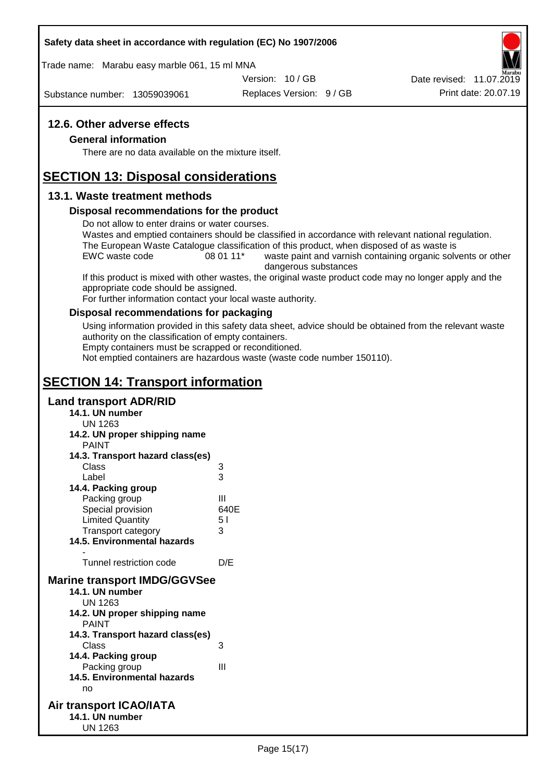#### **Safety data sheet in accordance with regulation (EC) No 1907/2006**

Trade name: Marabu easy marble 061, 15 ml MNA

Version: 10 / GB

Substance number: 13059039061

Replaces Version: 9 / GB Print date: 20.07.19 Date revised: 11.07.2019

## **12.6. Other adverse effects**

#### **General information**

There are no data available on the mixture itself.

# **SECTION 13: Disposal considerations**

## **13.1. Waste treatment methods**

#### **Disposal recommendations for the product**

Do not allow to enter drains or water courses.

Wastes and emptied containers should be classified in accordance with relevant national regulation. The European Waste Catalogue classification of this product, when disposed of as waste is

EWC waste code 08 01 11<sup>\*</sup> waste paint and varnish containing organic solvents or other dangerous substances

If this product is mixed with other wastes, the original waste product code may no longer apply and the appropriate code should be assigned.

For further information contact your local waste authority.

#### **Disposal recommendations for packaging**

Using information provided in this safety data sheet, advice should be obtained from the relevant waste authority on the classification of empty containers.

Empty containers must be scrapped or reconditioned.

Not emptied containers are hazardous waste (waste code number 150110).

# **SECTION 14: Transport information**

## **Land transport ADR/RID**

- **14.1. UN number**
	- UN 1263
- **14.2. UN proper shipping name**
	- **DAINIT**

| <b>FAIN</b>                         |      |
|-------------------------------------|------|
| 14.3. Transport hazard class(es)    |      |
| Class                               | 3    |
| Label                               | 3    |
| 14.4. Packing group                 |      |
| Packing group                       | Ш    |
| Special provision                   | 640E |
| <b>Limited Quantity</b>             | 51   |
| <b>Transport category</b>           | 3    |
| <b>14.5. Environmental hazards</b>  |      |
|                                     |      |
| Tunnel restriction code             | D/E  |
| <b>Marine transport IMDG/GGVSee</b> |      |
| 14.1. UN number                     |      |
| UN 1263                             |      |
| 14.2. UN proper shipping name       |      |
| <b>PAINT</b>                        |      |
| 14.3. Transport hazard class(es)    |      |
| Class                               | 3    |
| 14.4. Packing group                 |      |
| Packing group                       | Ш    |
| <b>14.5. Environmental hazards</b>  |      |
| no                                  |      |

#### **Air transport ICAO/IATA 14.1. UN number** UN 1263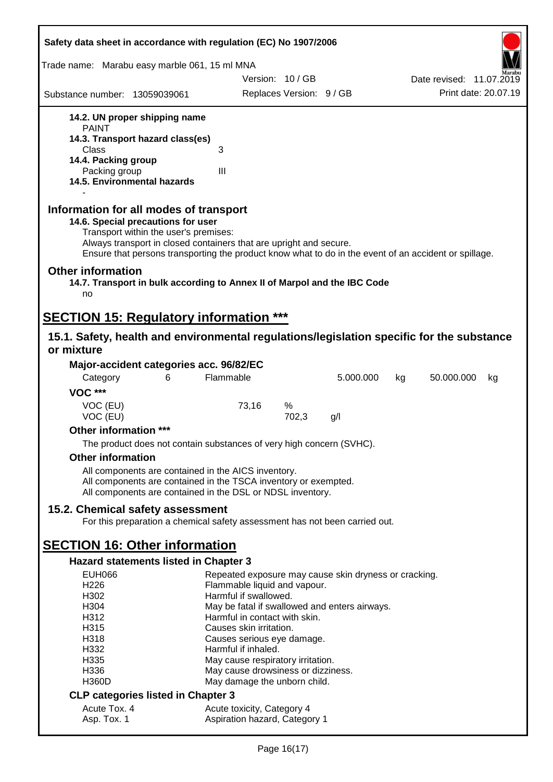| Safety data sheet in accordance with regulation (EC) No 1907/2006                                                                                                                                                                                                                                    |                                                                        |                          |           |    |                          |    |
|------------------------------------------------------------------------------------------------------------------------------------------------------------------------------------------------------------------------------------------------------------------------------------------------------|------------------------------------------------------------------------|--------------------------|-----------|----|--------------------------|----|
| Trade name: Marabu easy marble 061, 15 ml MNA                                                                                                                                                                                                                                                        |                                                                        |                          |           |    |                          |    |
|                                                                                                                                                                                                                                                                                                      | Version: 10/GB                                                         |                          |           |    | Date revised: 11.07.2019 |    |
| Substance number: 13059039061                                                                                                                                                                                                                                                                        |                                                                        | Replaces Version: 9 / GB |           |    | Print date: 20.07.19     |    |
| 14.2. UN proper shipping name                                                                                                                                                                                                                                                                        |                                                                        |                          |           |    |                          |    |
| <b>PAINT</b>                                                                                                                                                                                                                                                                                         |                                                                        |                          |           |    |                          |    |
| 14.3. Transport hazard class(es)<br>Class                                                                                                                                                                                                                                                            | 3                                                                      |                          |           |    |                          |    |
| 14.4. Packing group                                                                                                                                                                                                                                                                                  |                                                                        |                          |           |    |                          |    |
| Packing group                                                                                                                                                                                                                                                                                        | III                                                                    |                          |           |    |                          |    |
| 14.5. Environmental hazards                                                                                                                                                                                                                                                                          |                                                                        |                          |           |    |                          |    |
| Information for all modes of transport<br>14.6. Special precautions for user<br>Transport within the user's premises:<br>Always transport in closed containers that are upright and secure.<br>Ensure that persons transporting the product know what to do in the event of an accident or spillage. |                                                                        |                          |           |    |                          |    |
| <b>Other information</b><br>14.7. Transport in bulk according to Annex II of Marpol and the IBC Code<br>no                                                                                                                                                                                           |                                                                        |                          |           |    |                          |    |
| <b>SECTION 15: Regulatory information ***</b>                                                                                                                                                                                                                                                        |                                                                        |                          |           |    |                          |    |
| 15.1. Safety, health and environmental regulations/legislation specific for the substance                                                                                                                                                                                                            |                                                                        |                          |           |    |                          |    |
| or mixture                                                                                                                                                                                                                                                                                           |                                                                        |                          |           |    |                          |    |
| Major-accident categories acc. 96/82/EC                                                                                                                                                                                                                                                              |                                                                        |                          |           |    |                          |    |
| Category<br>6                                                                                                                                                                                                                                                                                        | Flammable                                                              |                          | 5.000.000 | kg | 50.000.000               | kg |
| <b>VOC ***</b>                                                                                                                                                                                                                                                                                       |                                                                        |                          |           |    |                          |    |
| VOC (EU)<br>VOC (EU)                                                                                                                                                                                                                                                                                 | 73,16                                                                  | %<br>702,3               | g/l       |    |                          |    |
| Other information ***                                                                                                                                                                                                                                                                                |                                                                        |                          |           |    |                          |    |
| The product does not contain substances of very high concern (SVHC).                                                                                                                                                                                                                                 |                                                                        |                          |           |    |                          |    |
| <b>Other information</b>                                                                                                                                                                                                                                                                             |                                                                        |                          |           |    |                          |    |
| All components are contained in the AICS inventory.                                                                                                                                                                                                                                                  |                                                                        |                          |           |    |                          |    |
| All components are contained in the TSCA inventory or exempted.<br>All components are contained in the DSL or NDSL inventory.                                                                                                                                                                        |                                                                        |                          |           |    |                          |    |
| 15.2. Chemical safety assessment                                                                                                                                                                                                                                                                     |                                                                        |                          |           |    |                          |    |
| For this preparation a chemical safety assessment has not been carried out.                                                                                                                                                                                                                          |                                                                        |                          |           |    |                          |    |
| <b>SECTION 16: Other information</b>                                                                                                                                                                                                                                                                 |                                                                        |                          |           |    |                          |    |
| <b>Hazard statements listed in Chapter 3</b>                                                                                                                                                                                                                                                         |                                                                        |                          |           |    |                          |    |
| <b>EUH066</b>                                                                                                                                                                                                                                                                                        | Repeated exposure may cause skin dryness or cracking.                  |                          |           |    |                          |    |
| H226                                                                                                                                                                                                                                                                                                 | Flammable liquid and vapour.                                           |                          |           |    |                          |    |
| H302<br>H304                                                                                                                                                                                                                                                                                         | Harmful if swallowed.<br>May be fatal if swallowed and enters airways. |                          |           |    |                          |    |
| H312                                                                                                                                                                                                                                                                                                 | Harmful in contact with skin.                                          |                          |           |    |                          |    |
| H315                                                                                                                                                                                                                                                                                                 | Causes skin irritation.                                                |                          |           |    |                          |    |
| H318                                                                                                                                                                                                                                                                                                 | Causes serious eye damage.                                             |                          |           |    |                          |    |
| H332<br>H335                                                                                                                                                                                                                                                                                         | Harmful if inhaled.<br>May cause respiratory irritation.               |                          |           |    |                          |    |
| H336                                                                                                                                                                                                                                                                                                 | May cause drowsiness or dizziness.                                     |                          |           |    |                          |    |
| <b>H360D</b>                                                                                                                                                                                                                                                                                         | May damage the unborn child.                                           |                          |           |    |                          |    |
| <b>CLP categories listed in Chapter 3</b>                                                                                                                                                                                                                                                            |                                                                        |                          |           |    |                          |    |
| Acute Tox. 4<br>Asp. Tox. 1                                                                                                                                                                                                                                                                          | Acute toxicity, Category 4<br>Aspiration hazard, Category 1            |                          |           |    |                          |    |
|                                                                                                                                                                                                                                                                                                      |                                                                        |                          |           |    |                          |    |